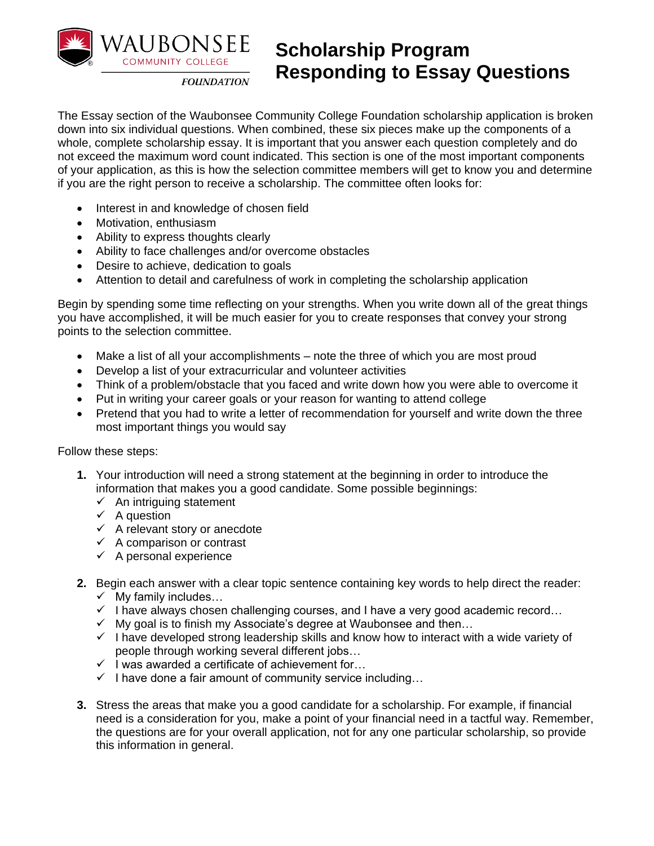

## **Scholarship Program Responding to Essay Questions**

**FOUNDATION** 

The Essay section of the Waubonsee Community College Foundation scholarship application is broken down into six individual questions. When combined, these six pieces make up the components of a whole, complete scholarship essay. It is important that you answer each question completely and do not exceed the maximum word count indicated. This section is one of the most important components of your application, as this is how the selection committee members will get to know you and determine if you are the right person to receive a scholarship. The committee often looks for:

- Interest in and knowledge of chosen field
- Motivation, enthusiasm
- Ability to express thoughts clearly
- Ability to face challenges and/or overcome obstacles
- Desire to achieve, dedication to goals
- Attention to detail and carefulness of work in completing the scholarship application

Begin by spending some time reflecting on your strengths. When you write down all of the great things you have accomplished, it will be much easier for you to create responses that convey your strong points to the selection committee.

- Make a list of all your accomplishments note the three of which you are most proud
- Develop a list of your extracurricular and volunteer activities
- Think of a problem/obstacle that you faced and write down how you were able to overcome it
- Put in writing your career goals or your reason for wanting to attend college
- Pretend that you had to write a letter of recommendation for yourself and write down the three most important things you would say

Follow these steps:

- **1.** Your introduction will need a strong statement at the beginning in order to introduce the information that makes you a good candidate. Some possible beginnings:
	- $\checkmark$  An intriguing statement
	- $\checkmark$  A question
	- $\checkmark$  A relevant story or anecdote
	- $\checkmark$  A comparison or contrast
	- $\checkmark$  A personal experience
- **2.** Begin each answer with a clear topic sentence containing key words to help direct the reader:
	- $\checkmark$  My family includes...
	- $\checkmark$  I have always chosen challenging courses, and I have a very good academic record...
	- $\checkmark$  My goal is to finish my Associate's degree at Waubonsee and then...
	- $\checkmark$  I have developed strong leadership skills and know how to interact with a wide variety of people through working several different jobs…
	- ✓ I was awarded a certificate of achievement for…
	- $\checkmark$  I have done a fair amount of community service including...
- **3.** Stress the areas that make you a good candidate for a scholarship. For example, if financial need is a consideration for you, make a point of your financial need in a tactful way. Remember, the questions are for your overall application, not for any one particular scholarship, so provide this information in general.